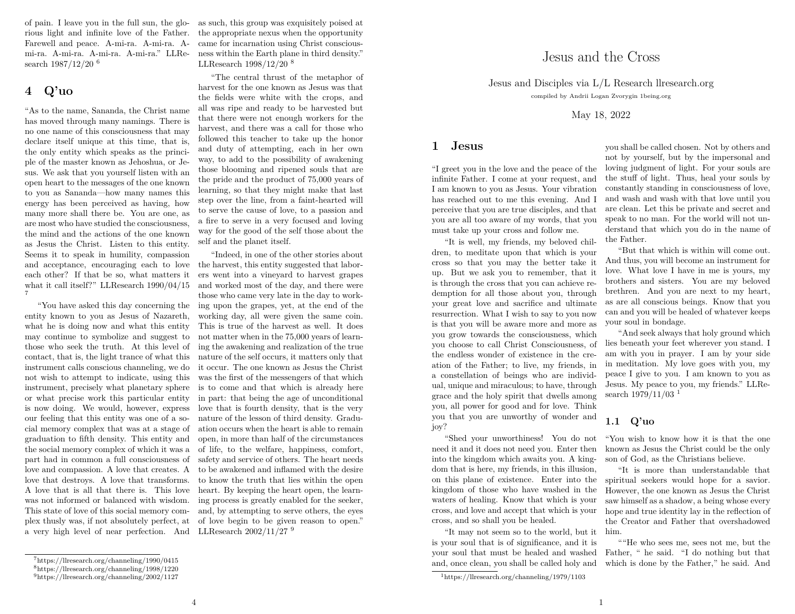of pain. I leave you in the full sun, the glorious light and infinite love of the Father. Farewell and peace. A-mi-ra. A-mi-ra. Ami-ra. A-mi-ra. A-mi-ra. A-mi-ra." LLResearch  $1987/12/20$ <sup>6</sup>

## $4 \quad Q'$ uo

"As to the name, Sananda, the Christ name has moved through many namings. There is no one name of this consciousness that may declare itself unique at this time, that is, the only entity which speaks as the principle of the master known as Jehoshua, or Jesus. We ask that you vourself listen with an open heart to the messages of the one known to you as Sananda—how many names this energy has been perceived as having, how many more shall there be. You are one, as are most who have studied the consciousness. the mind and the actions of the one known as Jesus the Christ. Listen to this entity. Seems it to speak in humility, compassion and acceptance, encouraging each to love each other? If that be so, what matters it what it call itself?" LLResearch  $1990/04/15$  $\overline{7}$ 

"You have asked this day concerning the entity known to you as Jesus of Nazareth. what he is doing now and what this entity may continue to symbolize and suggest to those who seek the truth. At this level of contact, that is, the light trance of what this instrument calls conscious channeling, we do not wish to attempt to indicate, using this instrument, precisely what planetary sphere or what precise work this particular entity is now doing. We would, however, express our feeling that this entity was one of a social memory complex that was at a stage of graduation to fifth density. This entity and the social memory complex of which it was a part had in common a full consciousness of love and compassion. A love that creates. A love that destroys. A love that transforms. A love that is all that there is. This love was not informed or balanced with wisdom. This state of love of this social memory complex thus y was, if not absolutely perfect, at a very high level of near perfection. And as such, this group was exquisitely poised at the appropriate nexus when the opportunity came for incarnation using Christ consciousness within the Earth plane in third density." LLResearch  $1998/12/20$ <sup>8</sup>

"The central thrust of the metaphor of harvest for the one known as Jesus was that the fields were white with the crops, and all was ripe and ready to be harvested but that there were not enough workers for the harvest, and there was a call for those who followed this teacher to take up the honor and duty of attempting, each in her own way, to add to the possibility of awakening those blooming and ripened souls that are the pride and the product of 75,000 years of learning, so that they might make that last step over the line, from a faint-hearted will to serve the cause of love, to a passion and a fire to serve in a very focused and loving way for the good of the self those about the self and the planet itself.

"Indeed, in one of the other stories about the harvest, this entity suggested that laborers went into a vineyard to harvest grapes and worked most of the day, and there were those who came very late in the day to working upon the grapes, yet, at the end of the working day, all were given the same coin. This is true of the harvest as well. It does not matter when in the 75,000 years of learning the awakening and realization of the true nature of the self occurs, it matters only that it occur. The one known as Jesus the Christ was the first of the messengers of that which is to come and that which is already here in part: that being the age of unconditional love that is fourth density, that is the very nature of the lesson of third density. Graduation occurs when the heart is able to remain open, in more than half of the circumstances of life, to the welfare, happiness, comfort, safety and service of others. The heart needs to be awakened and inflamed with the desire to know the truth that lies within the open heart. By keeping the heart open, the learning process is greatly enabled for the seeker, and, by attempting to serve others, the eyes of love begin to be given reason to open." LLResearch  $2002/11/27$ <sup>9</sup>

 $\overline{4}$ 

compiled by Andrii Logan Zvorvgin 1being.org May 18, 2022 you shall be called chosen. Not by others and

Jesus and the Cross

Jesus and Disciples via L/L Research Ilresearch.org

"I greet you in the love and the peace of the infinite Father. I come at your request, and I am known to you as Jesus. Your vibration has reached out to me this evening. And I perceive that you are true disciples, and that you are all too aware of my words, that you must take up your cross and follow me.

1 Jesus

"It is well, my friends, my beloved children, to meditate upon that which is your cross so that you may the better take it up. But we ask you to remember, that it is through the cross that you can achieve redemption for all those about you, through your great love and sacrifice and ultimate resurrection. What I wish to say to you now is that you will be aware more and more as you grow towards the consciousness, which you choose to call Christ Consciousness, of the endless wonder of existence in the creation of the Father; to live, my friends, in a constellation of beings who are individual, unique and miraculous; to have, through grace and the holy spirit that dwells among you, all power for good and for love. Think you that you are unworthy of wonder and iov?

"Shed your unworthiness! You do not need it and it does not need you. Enter then into the kingdom which awaits you. A kingdom that is here, my friends, in this illusion, on this plane of existence. Enter into the kingdom of those who have washed in the waters of healing. Know that which is your cross, and love and accept that which is your cross, and so shall you be healed.

"It may not seem so to the world, but it is your soul that is of significance, and it is your soul that must be healed and washed and, once clean, you shall be called holy and

not by yourself, but by the impersonal and loving judgment of light. For your souls are the stuff of light. Thus, heal your souls by constantly standing in consciousness of love, and wash and wash with that love until you are clean. Let this be private and secret and speak to no man. For the world will not understand that which you do in the name of the Father.

"But that which is within will come out. And thus, you will become an instrument for love. What love I have in me is yours, my brothers and sisters. You are my beloved brethren. And you are next to my heart, as are all conscious beings. Know that you can and you will be healed of whatever keeps your soul in bondage.

"And seek always that holy ground which lies beneath your feet wherever you stand. I am with you in prayer. I am by your side in meditation. My love goes with you, my peace I give to you. I am known to you as Jesus. My peace to you, my friends." LLResearch  $1979/11/03$ <sup>1</sup>

## $1.1$  Q'uo

"You wish to know how it is that the one known as Jesus the Christ could be the only son of God, as the Christians believe.

"It is more than understandable that spiritual seekers would hope for a savior. However, the one known as Jesus the Christ saw himself as a shadow, a being whose every hope and true identity lay in the reflection of the Creator and Father that overshadowed him.

""He who sees me, sees not me, but the Father, " he said. "I do nothing but that which is done by the Father," he said. And

 $7$ https://llresearch.org/channeling/1990/0415

 $8$ https://llresearch.org/channeling/1998/1220

 $9$ https://llresearch.org/channeling/2002/1127

 $1$ https://llresearch.org/channeling/1979/1103